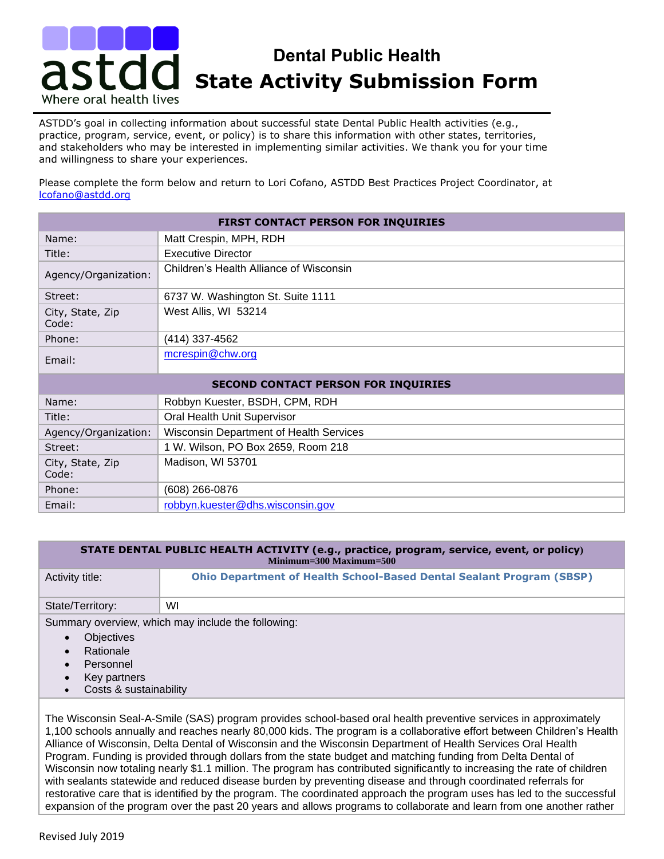## **State Activity Submission Form** Dental Public Health **Dental Public Health**  Where oral health lives

ASTDD's goal in collecting information about successful state Dental Public Health activities (e.g., practice, program, service, event, or policy) is to share this information with other states, territories, and stakeholders who may be interested in implementing similar activities. We thank you for your time and willingness to share your experiences.

Please complete the form below and return to Lori Cofano, ASTDD Best Practices Project Coordinator, at [lcofano@astdd.org](mailto:lcofano@astdd.org)

| FIRST CONTACT PERSON FOR INQUIRIES         |                                         |  |
|--------------------------------------------|-----------------------------------------|--|
| Name:                                      | Matt Crespin, MPH, RDH                  |  |
| Title:                                     | <b>Executive Director</b>               |  |
| Agency/Organization:                       | Children's Health Alliance of Wisconsin |  |
| Street:                                    | 6737 W. Washington St. Suite 1111       |  |
| City, State, Zip<br>Code:                  | West Allis, WI 53214                    |  |
| Phone:                                     | (414) 337-4562                          |  |
| Email:                                     | mcrespin@chw.org                        |  |
| <b>SECOND CONTACT PERSON FOR INQUIRIES</b> |                                         |  |
| Name:                                      | Robbyn Kuester, BSDH, CPM, RDH          |  |
| Title:                                     | Oral Health Unit Supervisor             |  |
| Agency/Organization:                       | Wisconsin Department of Health Services |  |
| Street:                                    | 1 W. Wilson, PO Box 2659, Room 218      |  |
| City, State, Zip<br>Code:                  | Madison, WI 53701                       |  |
| Phone:                                     | (608) 266-0876                          |  |
| Email:                                     | robbyn.kuester@dhs.wisconsin.gov        |  |

| STATE DENTAL PUBLIC HEALTH ACTIVITY (e.g., practice, program, service, event, or policy)<br>$Minimum=300$ $Maximum=500$ |                                                                             |  |
|-------------------------------------------------------------------------------------------------------------------------|-----------------------------------------------------------------------------|--|
| Activity title:                                                                                                         | <b>Ohio Department of Health School-Based Dental Sealant Program (SBSP)</b> |  |
| State/Territory:                                                                                                        | WI                                                                          |  |
| Summary overview, which may include the following:                                                                      |                                                                             |  |
| <b>Objectives</b><br>$\bullet$                                                                                          |                                                                             |  |
| Rationale<br>$\bullet$                                                                                                  |                                                                             |  |
| Personnel<br>$\bullet$                                                                                                  |                                                                             |  |
| Key partners<br>$\bullet$                                                                                               |                                                                             |  |
| Costs & sustainability<br>$\bullet$                                                                                     |                                                                             |  |

The Wisconsin Seal-A-Smile (SAS) program provides school-based oral health preventive services in approximately 1,100 schools annually and reaches nearly 80,000 kids. The program is a collaborative effort between Children's Health Alliance of Wisconsin, Delta Dental of Wisconsin and the Wisconsin Department of Health Services Oral Health Program. Funding is provided through dollars from the state budget and matching funding from Delta Dental of Wisconsin now totaling nearly \$1.1 million. The program has contributed significantly to increasing the rate of children with sealants statewide and reduced disease burden by preventing disease and through coordinated referrals for restorative care that is identified by the program. The coordinated approach the program uses has led to the successful expansion of the program over the past 20 years and allows programs to collaborate and learn from one another rather